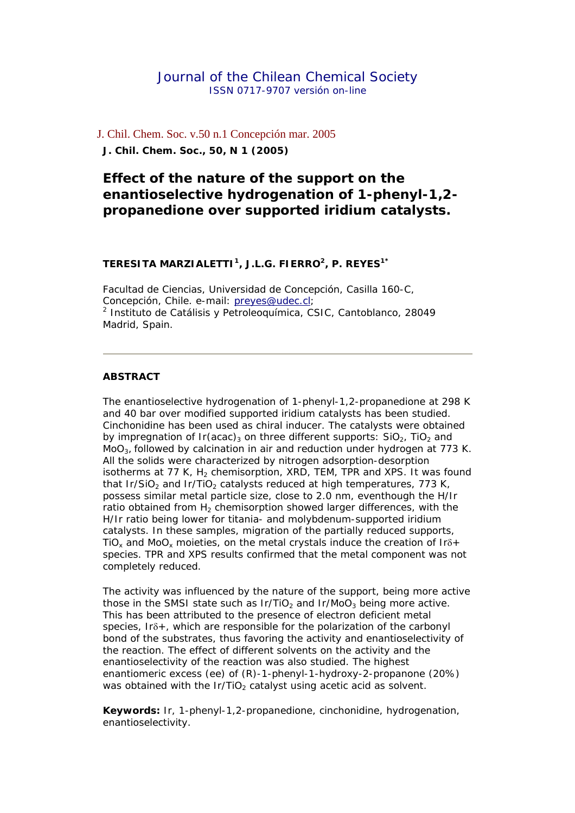## Journal of the Chilean Chemical Society ISSN 0717-9707 *versión on-line*

J. Chil. Chem. Soc. v.50 n.1 Concepción mar. 2005 **J. Chil. Chem. Soc., 50, N 1 (2005)**

# **Effect of the nature of the support on the enantioselective hydrogenation of 1-phenyl-1,2 propanedione over supported iridium catalysts.**

#### *TERESITA MARZIALETTI1, J.L.G. FIERRO2, P. REYES1\**

Facultad de Ciencias, Universidad de Concepción, Casilla 160-C, Concepción, Chile. e-mail: [preyes@udec.cl](mailto:preyes@udec.cl); 2 Instituto de Catálisis y Petroleoquímica, CSIC, Cantoblanco, 28049 Madrid, Spain.

#### **ABSTRACT**

The enantioselective hydrogenation of 1-phenyl-1,2-propanedione at 298 K and 40 bar over modified supported iridium catalysts has been studied. Cinchonidine has been used as chiral inducer. The catalysts were obtained by impregnation of Ir(acac)<sub>3</sub> on three different supports:  $SiO<sub>2</sub>$ , TiO<sub>2</sub> and MoO3, followed by calcination in air and reduction under hydrogen at 773 K. All the solids were characterized by nitrogen adsorption-desorption isotherms at 77 K,  $H_2$  chemisorption, XRD, TEM, TPR and XPS. It was found that Ir/SiO<sub>2</sub> and Ir/TiO<sub>2</sub> catalysts reduced at high temperatures, 773 K, possess similar metal particle size, close to 2.0 nm, eventhough the H/Ir ratio obtained from  $H_2$  chemisorption showed larger differences, with the H/Ir ratio being lower for titania- and molybdenum-supported iridium catalysts. In these samples, migration of the partially reduced supports, TiO<sub>x</sub> and MoO<sub>x</sub> moieties, on the metal crystals induce the creation of Ir $\delta$ + species. TPR and XPS results confirmed that the metal component was not completely reduced.

The activity was influenced by the nature of the support, being more active those in the SMSI state such as  $Ir/TiO<sub>2</sub>$  and  $Ir/MoO<sub>3</sub>$  being more active. This has been attributed to the presence of electron deficient metal species, Irδ+, which are responsible for the polarization of the carbonyl bond of the substrates, thus favoring the activity and enantioselectivity of the reaction. The effect of different solvents on the activity and the enantioselectivity of the reaction was also studied. The highest enantiomeric excess (ee) of (R)-1-phenyl-1-hydroxy-2-propanone (20%) was obtained with the  $Ir/TiO<sub>2</sub>$  catalyst using acetic acid as solvent.

*Keywords:* Ir, 1-phenyl-1,2-propanedione, cinchonidine, hydrogenation, enantioselectivity.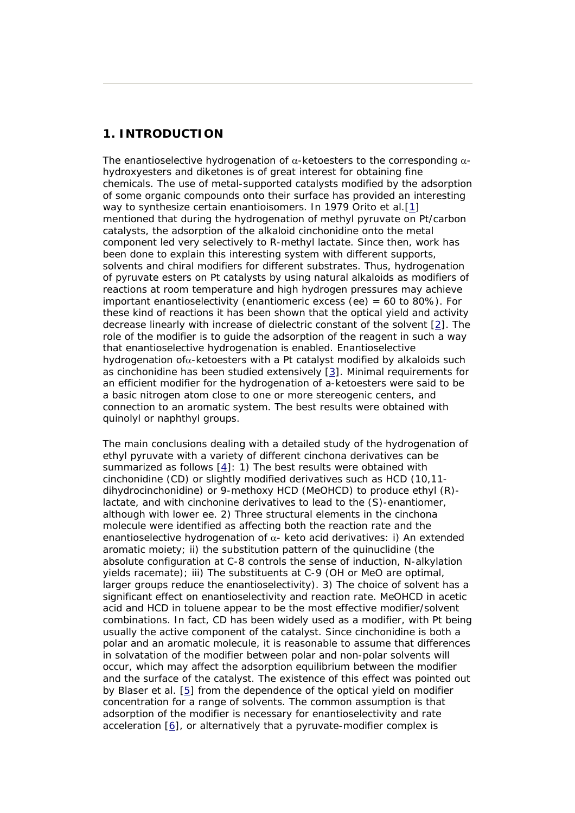# **1. INTRODUCTION**

The enantioselective hydrogenation of  $\alpha$ -ketoesters to the corresponding  $\alpha$ hydroxyesters and diketones is of great interest for obtaining fine chemicals. The use of metal-supported catalysts modified by the adsorption of some organic compounds onto their surface has provided an interesting way to synthesize certain enantioisomers. In 1979 Orito et al.[\[1\]](http://www.scielo.cl/scielo.php?script=sci_arttext&pid=S0717-97072005000100005&lng=es&nrm=iso&tlng=en#1#1) mentioned that during the hydrogenation of methyl pyruvate on Pt/carbon catalysts, the adsorption of the alkaloid cinchonidine onto the metal component led very selectively to R-methyl lactate. Since then, work has been done to explain this interesting system with different supports, solvents and chiral modifiers for different substrates. Thus, hydrogenation of pyruvate esters on Pt catalysts by using natural alkaloids as modifiers of reactions at room temperature and high hydrogen pressures may achieve important enantioselectivity (enantiomeric excess (ee) = 60 to 80%). For these kind of reactions it has been shown that the optical yield and activity decrease linearly with increase of dielectric constant of the solvent [\[2](http://www.scielo.cl/scielo.php?script=sci_arttext&pid=S0717-97072005000100005&lng=es&nrm=iso&tlng=en#2#2)]. The role of the modifier is to guide the adsorption of the reagent in such a way that enantioselective hydrogenation is enabled. Enantioselective hydrogenation ofα-ketoesters with a Pt catalyst modified by alkaloids such as cinchonidine has been studied extensively [[3](http://www.scielo.cl/scielo.php?script=sci_arttext&pid=S0717-97072005000100005&lng=es&nrm=iso&tlng=en#3#3)]. Minimal requirements for an efficient modifier for the hydrogenation of a-ketoesters were said to be a basic nitrogen atom close to one or more stereogenic centers, and connection to an aromatic system. The best results were obtained with quinolyl or naphthyl groups.

The main conclusions dealing with a detailed study of the hydrogenation of ethyl pyruvate with a variety of different cinchona derivatives can be summarized as follows [[4](http://www.scielo.cl/scielo.php?script=sci_arttext&pid=S0717-97072005000100005&lng=es&nrm=iso&tlng=en#4#4)]: 1) The best results were obtained with cinchonidine (CD) or slightly modified derivatives such as HCD (10,11 dihydrocinchonidine) or 9-methoxy HCD (MeOHCD) to produce ethyl (R) lactate, and with cinchonine derivatives to lead to the (S)-enantiomer, although with lower ee. 2) Three structural elements in the cinchona molecule were identified as affecting both the reaction rate and the enantioselective hydrogenation of  $\alpha$ - keto acid derivatives: i) An extended aromatic moiety; ii) the substitution pattern of the quinuclidine (the absolute configuration at C-8 controls the sense of induction, N-alkylation yields racemate); iii) The substituents at C-9 (OH or MeO are optimal, larger groups reduce the enantioselectivity). 3) The choice of solvent has a significant effect on enantioselectivity and reaction rate. MeOHCD in acetic acid and HCD in toluene appear to be the most effective modifier/solvent combinations. In fact, CD has been widely used as a modifier, with Pt being usually the active component of the catalyst. Since cinchonidine is both a polar and an aromatic molecule, it is reasonable to assume that differences in solvatation of the modifier between polar and non-polar solvents will occur, which may affect the adsorption equilibrium between the modifier and the surface of the catalyst. The existence of this effect was pointed out by Blaser et al. [\[5\]](http://www.scielo.cl/scielo.php?script=sci_arttext&pid=S0717-97072005000100005&lng=es&nrm=iso&tlng=en#5#5) from the dependence of the optical yield on modifier concentration for a range of solvents. The common assumption is that adsorption of the modifier is necessary for enantioselectivity and rate acceleration [[6](http://www.scielo.cl/scielo.php?script=sci_arttext&pid=S0717-97072005000100005&lng=es&nrm=iso&tlng=en#6#6)], or alternatively that a pyruvate-modifier complex is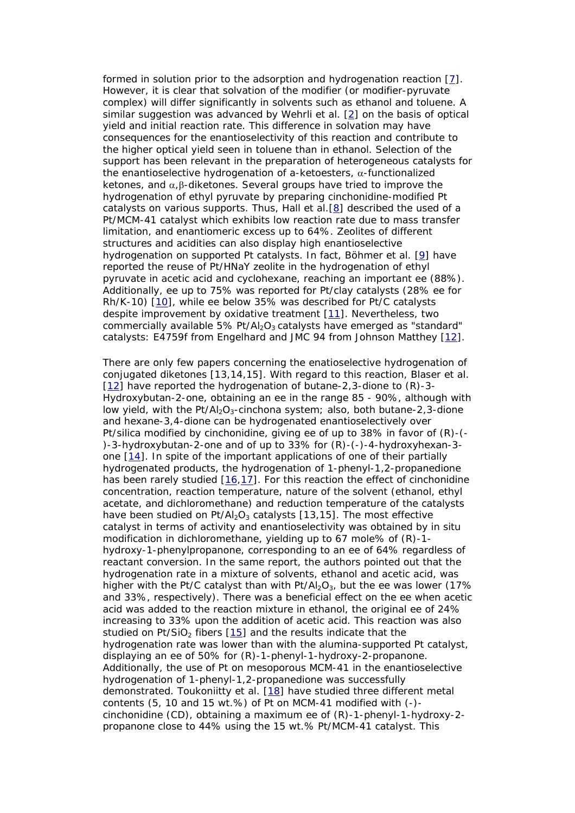formed in solution prior to the adsorption and hydrogenation reaction [[7](http://www.scielo.cl/scielo.php?script=sci_arttext&pid=S0717-97072005000100005&lng=es&nrm=iso&tlng=en#7#7)]. However, it is clear that solvation of the modifier (or modifier-pyruvate complex) will differ significantly in solvents such as ethanol and toluene. A similar suggestion was advanced by Wehrli et al. [\[2\]](http://www.scielo.cl/scielo.php?script=sci_arttext&pid=S0717-97072005000100005&lng=es&nrm=iso&tlng=en#2#2) on the basis of optical yield and initial reaction rate. This difference in solvation may have consequences for the enantioselectivity of this reaction and contribute to the higher optical yield seen in toluene than in ethanol. Selection of the support has been relevant in the preparation of heterogeneous catalysts for the enantioselective hydrogenation of a-ketoesters,  $\alpha$ -functionalized ketones, and  $\alpha$ ,  $\beta$ -diketones. Several groups have tried to improve the hydrogenation of ethyl pyruvate by preparing cinchonidine-modified Pt catalysts on various supports. Thus, Hall et al.[[8](http://www.scielo.cl/scielo.php?script=sci_arttext&pid=S0717-97072005000100005&lng=es&nrm=iso&tlng=en#8#8)] described the used of a Pt/MCM-41 catalyst which exhibits low reaction rate due to mass transfer limitation, and enantiomeric excess up to 64%. Zeolites of different structures and acidities can also display high enantioselective hydrogenation on supported Pt catalysts. In fact, Böhmer et al. [[9\]](http://www.scielo.cl/scielo.php?script=sci_arttext&pid=S0717-97072005000100005&lng=es&nrm=iso&tlng=en#9#9) have reported the reuse of Pt/HNaY zeolite in the hydrogenation of ethyl pyruvate in acetic acid and cyclohexane, reaching an important ee (88%). Additionally, ee up to 75% was reported for Pt/clay catalysts (28% ee for Rh/K-10) [\[10\]](http://www.scielo.cl/scielo.php?script=sci_arttext&pid=S0717-97072005000100005&lng=es&nrm=iso&tlng=en#10#10), while ee below 35% was described for Pt/C catalysts despite improvement by oxidative treatment [\[11](http://www.scielo.cl/scielo.php?script=sci_arttext&pid=S0717-97072005000100005&lng=es&nrm=iso&tlng=en#11#11)]. Nevertheless, two commercially available 5% Pt/Al<sub>2</sub>O<sub>3</sub> catalysts have emerged as "standard" catalysts: E4759f from Engelhard and JMC 94 from Johnson Matthey [\[12](http://www.scielo.cl/scielo.php?script=sci_arttext&pid=S0717-97072005000100005&lng=es&nrm=iso&tlng=en#12#12)].

There are only few papers concerning the enatioselective hydrogenation of conjugated diketones [13,14,15]. With regard to this reaction, Blaser et al. [[12\]](http://www.scielo.cl/scielo.php?script=sci_arttext&pid=S0717-97072005000100005&lng=es&nrm=iso&tlng=en#12#12) have reported the hydrogenation of butane-2,3-dione to (R)-3- Hydroxybutan-2-one, obtaining an ee in the range 85 - 90%, although with low yield, with the  $Pt/Al_2O_3$ -cinchona system; also, both butane-2,3-dione and hexane-3,4-dione can be hydrogenated enantioselectively over Pt/silica modified by cinchonidine, giving ee of up to 38% in favor of (R)-(- )-3-hydroxybutan-2-one and of up to 33% for (R)-(-)-4-hydroxyhexan-3 one [[14\]](http://www.scielo.cl/scielo.php?script=sci_arttext&pid=S0717-97072005000100005&lng=es&nrm=iso&tlng=en#14#14). In spite of the important applications of one of their partially hydrogenated products, the hydrogenation of 1-phenyl-1,2-propanedione has been rarely studied [\[16,](http://www.scielo.cl/scielo.php?script=sci_arttext&pid=S0717-97072005000100005&lng=es&nrm=iso&tlng=en#16#16)[17\]](http://www.scielo.cl/scielo.php?script=sci_arttext&pid=S0717-97072005000100005&lng=es&nrm=iso&tlng=en#17#17). For this reaction the effect of cinchonidine concentration, reaction temperature, nature of the solvent (ethanol, ethyl acetate, and dichloromethane) and reduction temperature of the catalysts have been studied on  $Pt/Al_2O_3$  catalysts [13,15]. The most effective catalyst in terms of activity and enantioselectivity was obtained by *in situ*  modification in dichloromethane, yielding up to 67 mole% of (R)-1 hydroxy-1-phenylpropanone, corresponding to an ee of 64% regardless of reactant conversion. In the same report, the authors pointed out that the hydrogenation rate in a mixture of solvents, ethanol and acetic acid, was higher with the Pt/C catalyst than with Pt/Al<sub>2</sub>O<sub>3</sub>, but the ee was lower (17%) and 33%, respectively). There was a beneficial effect on the ee when acetic acid was added to the reaction mixture in ethanol, the original ee of 24% increasing to 33% upon the addition of acetic acid. This reaction was also studied on Pt/SiO<sub>2</sub> fibers  $[15]$  and the results indicate that the hydrogenation rate was lower than with the alumina-supported Pt catalyst, displaying an ee of 50% for (R)-1-phenyl-1-hydroxy-2-propanone. Additionally, the use of Pt on mesoporous MCM-41 in the enantioselective hydrogenation of 1-phenyl-1,2-propanedione was successfully demonstrated. Toukoniitty et al. [\[18\]](http://www.scielo.cl/scielo.php?script=sci_arttext&pid=S0717-97072005000100005&lng=es&nrm=iso&tlng=en#18#18) have studied three different metal contents (5, 10 and 15 wt.%) of Pt on MCM-41 modified with (-) cinchonidine (CD), obtaining a maximum ee of (R)-1-phenyl-1-hydroxy-2 propanone close to 44% using the 15 wt.% Pt/MCM-41 catalyst. This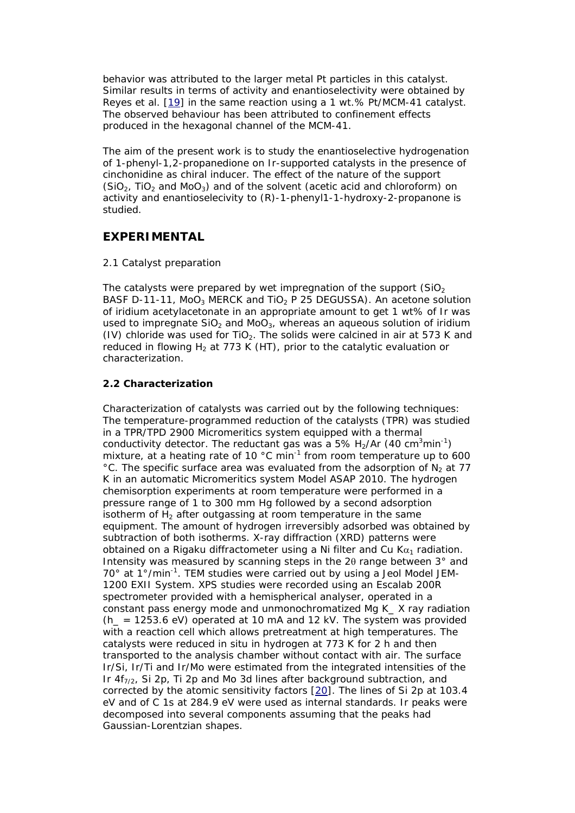behavior was attributed to the larger metal Pt particles in this catalyst. Similar results in terms of activity and enantioselectivity were obtained by Reyes et al. [[19](http://www.scielo.cl/scielo.php?script=sci_arttext&pid=S0717-97072005000100005&lng=es&nrm=iso&tlng=en#19#19)] in the same reaction using a 1 wt.% Pt/MCM-41 catalyst. The observed behaviour has been attributed to confinement effects produced in the hexagonal channel of the MCM-41.

The aim of the present work is to study the enantioselective hydrogenation of 1-phenyl-1,2-propanedione on Ir-supported catalysts in the presence of cinchonidine as chiral inducer. The effect of the nature of the support (SiO<sub>2</sub>, TiO<sub>2</sub> and MoO<sub>3</sub>) and of the solvent (acetic acid and chloroform) on activity and enantioselecivity to (R)-1-phenyl1-1-hydroxy-2-propanone is studied.

# **EXPERIMENTAL**

### 2.1 Catalyst preparation

The catalysts were prepared by wet impregnation of the support  $(SiO<sub>2</sub>)$ BASF D-11-11, MoO<sub>3</sub> MERCK and TiO<sub>2</sub> P 25 DEGUSSA). An acetone solution of iridium acetylacetonate in an appropriate amount to get 1 wt% of Ir was used to impregnate  $SiO<sub>2</sub>$  and MoO<sub>3</sub>, whereas an aqueous solution of iridium (IV) chloride was used for TiO<sub>2</sub>. The solids were calcined in air at 573 K and reduced in flowing  $H_2$  at 773 K (HT), prior to the catalytic evaluation or characterization.

# **2.2 Characterization**

Characterization of catalysts was carried out by the following techniques: The temperature-programmed reduction of the catalysts (TPR) was studied in a TPR/TPD 2900 Micromeritics system equipped with a thermal conductivity detector. The reductant gas was a 5%  $H_2/Ar$  (40 cm<sup>3</sup>min<sup>-1</sup>) mixture, at a heating rate of 10 °C min<sup>-1</sup> from room temperature up to 600 °C. The specific surface area was evaluated from the adsorption of  $N_2$  at 77 K in an automatic Micromeritics system Model ASAP 2010. The hydrogen chemisorption experiments at room temperature were performed in a pressure range of 1 to 300 mm Hg followed by a second adsorption isotherm of  $H<sub>2</sub>$  after outgassing at room temperature in the same equipment. The amount of hydrogen irreversibly adsorbed was obtained by subtraction of both isotherms. X-ray diffraction (XRD) patterns were obtained on a Rigaku diffractometer using a Ni filter and Cu  $Ka_1$  radiation. Intensity was measured by scanning steps in the 2θ range between 3° and  $70^{\circ}$  at 1°/min<sup>-1</sup>. TEM studies were carried out by using a Jeol Model JEM-1200 EXII System. XPS studies were recorded using an Escalab 200R spectrometer provided with a hemispherical analyser, operated in a constant pass energy mode and unmonochromatized Mg K\_ X ray radiation  $(h = 1253.6 \text{ eV})$  operated at 10 mA and 12 kV. The system was provided with a reaction cell which allows pretreatment at high temperatures. The catalysts were reduced *in situ* in hydrogen at 773 K for 2 h and then transported to the analysis chamber without contact with air. The surface Ir/Si, Ir/Ti and Ir/Mo were estimated from the integrated intensities of the Ir  $4f_{7/2}$ , Si 2p, Ti 2p and Mo 3d lines after background subtraction, and corrected by the atomic sensitivity factors [\[20\]](http://www.scielo.cl/scielo.php?script=sci_arttext&pid=S0717-97072005000100005&lng=es&nrm=iso&tlng=en#20#20). The lines of Si 2p at 103.4 eV and of C 1s at 284.9 eV were used as internal standards. Ir peaks were decomposed into several components assuming that the peaks had Gaussian-Lorentzian shapes.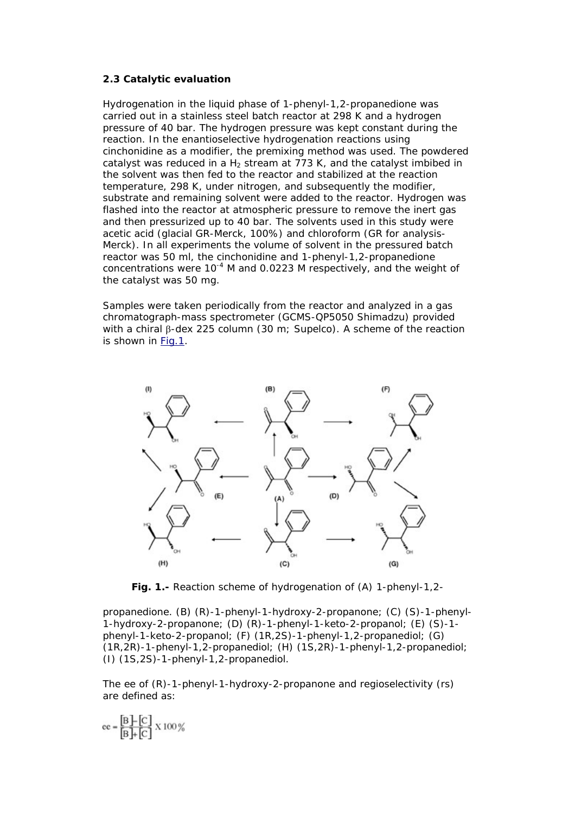#### **2.3 Catalytic evaluation**

Hydrogenation in the liquid phase of 1-phenyl-1,2-propanedione was carried out in a stainless steel batch reactor at 298 K and a hydrogen pressure of 40 bar. The hydrogen pressure was kept constant during the reaction. In the enantioselective hydrogenation reactions using cinchonidine as a modifier, the premixing method was used. The powdered catalyst was reduced in a  $H_2$  stream at 773 K, and the catalyst imbibed in the solvent was then fed to the reactor and stabilized at the reaction temperature, 298 K, under nitrogen, and subsequently the modifier, substrate and remaining solvent were added to the reactor. Hydrogen was flashed into the reactor at atmospheric pressure to remove the inert gas and then pressurized up to 40 bar. The solvents used in this study were acetic acid (glacial GR-Merck, 100%) and chloroform (GR for analysis-Merck). In all experiments the volume of solvent in the pressured batch reactor was 50 ml, the cinchonidine and 1-phenyl-1,2-propanedione concentrations were  $10^{-4}$  M and 0.0223 M respectively, and the weight of the catalyst was 50 mg.

Samples were taken periodically from the reactor and analyzed in a gas chromatograph-mass spectrometer (GCMS-QP5050 Shimadzu) provided with a chiral β-dex 225 column (30 m; Supelco). A scheme of the reaction is shown in [Fig.1.](http://www.scielo.cl/scielo.php?script=sci_arttext&pid=S0717-97072005000100005&lng=es&nrm=iso&tlng=en#figura1#figura1)



**Fig. 1.-** Reaction scheme of hydrogenation of (*A*) 1-phenyl-1,2-

propanedione. (*B*) (R)-1-phenyl-1-hydroxy-2-propanone; (*C*) (S)-1-phenyl-1-hydroxy-2-propanone; (*D*) (R)-1-phenyl-1-keto-2-propanol; (*E*) (S)-1 phenyl-1-keto-2-propanol; (*F*) (1R,2S)-1-phenyl-1,2-propanediol; (*G*) (1R,2R)-1-phenyl-1,2-propanediol; (*H*) (1S,2R)-1-phenyl-1,2-propanediol; (*I*) (1S,2S)-1-phenyl-1,2-propanediol.

The ee of (R)-1-phenyl-1-hydroxy-2-propanone and regioselectivity (rs) are defined as:

$$
ee = \frac{[B] - [C]}{[B] + [C]} \times 100\%
$$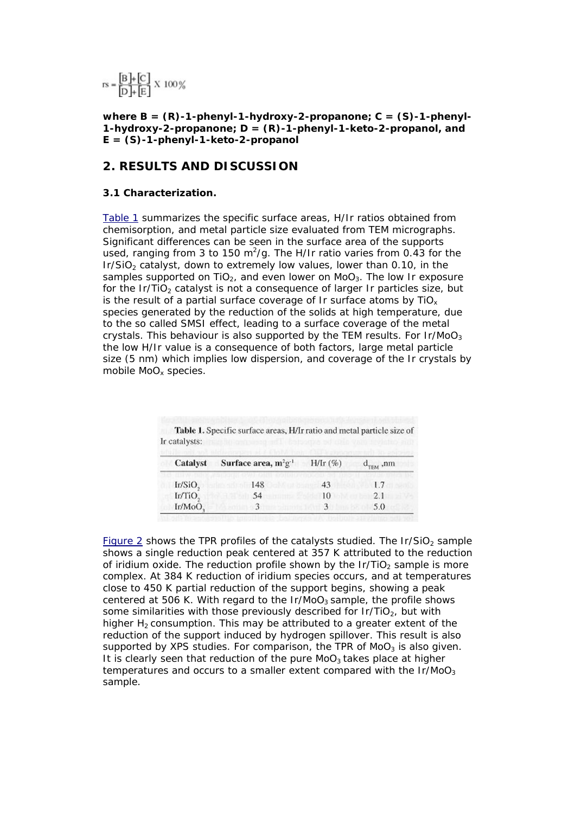$$
rs = \frac{[B] + [C]}{[D] + [E]} \times 100\%
$$

**where B = (R)-1-phenyl-1-hydroxy-2-propanone; C = (S)-1-phenyl-1-hydroxy-2-propanone; D = (R)-1-phenyl-1-keto-2-propanol, and E = (S)-1-phenyl-1-keto-2-propanol**

## **2. RESULTS AND DISCUSSION**

#### **3.1 Characterization.**

[Table 1](http://www.scielo.cl/scielo.php?script=sci_arttext&pid=S0717-97072005000100005&lng=es&nrm=iso&tlng=en#tabla1#tabla1) summarizes the specific surface areas, H/Ir ratios obtained from chemisorption, and metal particle size evaluated from TEM micrographs. Significant differences can be seen in the surface area of the supports used, ranging from 3 to 150 m<sup>2</sup>/g. The H/Ir ratio varies from 0.43 for the  $Ir/SiO<sub>2</sub>$  catalyst, down to extremely low values, lower than 0.10, in the samples supported on  $TiO<sub>2</sub>$ , and even lower on MoO<sub>3</sub>. The low Ir exposure for the Ir/TiO<sub>2</sub> catalyst is not a consequence of larger Ir particles size, but is the result of a partial surface coverage of Ir surface atoms by  $TiO<sub>x</sub>$ species generated by the reduction of the solids at high temperature, due to the so called SMSI effect, leading to a surface coverage of the metal crystals. This behaviour is also supported by the TEM results. For  $Ir/Moo<sub>3</sub>$ the low H/Ir value is a consequence of both factors, large metal particle size (5 nm) which implies low dispersion, and coverage of the Ir crystals by mobile MoO<sub>x</sub> species.

| Catalyst            | Surface area, $m^2g^{-1}$ | $H/Ir$ (%) | $d_{THM}$ ,nm |  |
|---------------------|---------------------------|------------|---------------|--|
| Ir/SiO <sub>2</sub> | 148                       | 43         | 1.7           |  |
| Ir/TiO <sub>2</sub> | 54                        | 10         | 2.1           |  |
| Ir/MoO,             |                           |            | 5.0           |  |

Table 1. Specific surface areas, H/Ir ratio and metal particle size of Ir catalysts:

[Figure 2](http://www.scielo.cl/scielo.php?script=sci_arttext&pid=S0717-97072005000100005&lng=es&nrm=iso&tlng=en#figura2#figura2) shows the TPR profiles of the catalysts studied. The  $Ir/SiO<sub>2</sub>$  sample shows a single reduction peak centered at 357 K attributed to the reduction of iridium oxide. The reduction profile shown by the  $Ir/TiO<sub>2</sub>$  sample is more complex. At 384 K reduction of iridium species occurs, and at temperatures close to 450 K partial reduction of the support begins, showing a peak centered at 506 K. With regard to the  $Ir/MoO<sub>3</sub>$  sample, the profile shows some similarities with those previously described for  $Ir/TiO<sub>2</sub>$ , but with higher  $H<sub>2</sub>$  consumption. This may be attributed to a greater extent of the reduction of the support induced by hydrogen spillover. This result is also supported by XPS studies. For comparison, the TPR of  $MoO<sub>3</sub>$  is also given. It is clearly seen that reduction of the pure  $MO<sub>3</sub>$  takes place at higher temperatures and occurs to a smaller extent compared with the  $Ir/MoO<sub>3</sub>$ sample.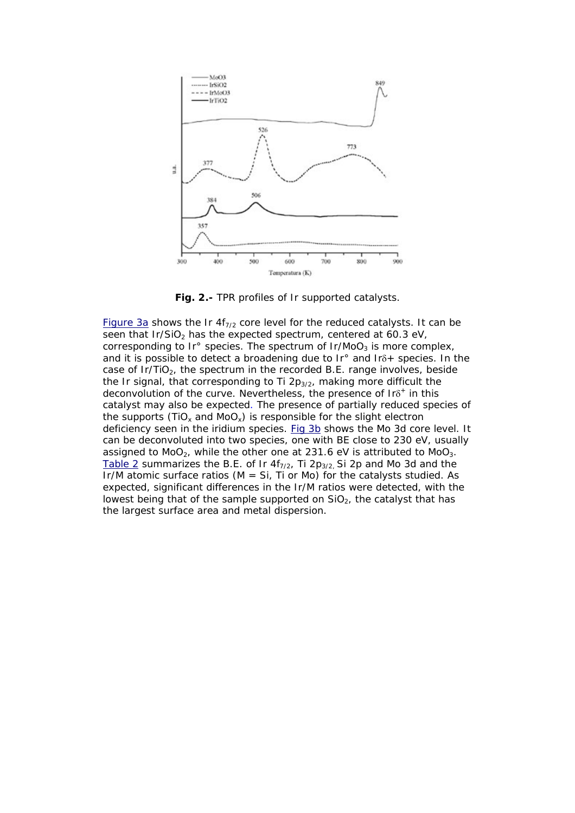

**Fig. 2.-** TPR profiles of Ir supported catalysts.

[Figure 3a](http://www.scielo.cl/scielo.php?script=sci_arttext&pid=S0717-97072005000100005&lng=es&nrm=iso&tlng=en#figura3#figura3) shows the Ir  $4f_{7/2}$  core level for the reduced catalysts. It can be seen that Ir/SiO<sub>2</sub> has the expected spectrum, centered at 60.3 eV, corresponding to Ir $\degree$  species. The spectrum of Ir/MoO<sub>3</sub> is more complex, and it is possible to detect a broadening due to Ir° and Irδ+ species. In the case of  $Ir/TiO<sub>2</sub>$ , the spectrum in the recorded B.E. range involves, beside the Ir signal, that corresponding to Ti  $2p_{3/2}$ , making more difficult the deconvolution of the curve. Nevertheless, the presence of  $Ir\delta^+$  in this catalyst may also be expected. The presence of partially reduced species of the supports (TiO<sub>x</sub> and MoO<sub>x</sub>) is responsible for the slight electron deficiency seen in the iridium species. [Fig 3b](http://www.scielo.cl/scielo.php?script=sci_arttext&pid=S0717-97072005000100005&lng=es&nrm=iso&tlng=en#figura3#figura3) shows the Mo 3d core level. It can be deconvoluted into two species, one with BE close to 230 eV, usually assigned to  $MoO<sub>2</sub>$ , while the other one at 231.6 eV is attributed to  $MoO<sub>3</sub>$ . [Table 2](http://www.scielo.cl/scielo.php?script=sci_arttext&pid=S0717-97072005000100005&lng=es&nrm=iso&tlng=en#tabla2#tabla2) summarizes the B.E. of Ir  $4f_{7/2}$ , Ti 2p<sub>3/2</sub>. Si 2p and Mo 3d and the Ir/M atomic surface ratios ( $M = Si$ , Ti or Mo) for the catalysts studied. As expected, significant differences in the Ir/M ratios were detected, with the lowest being that of the sample supported on SiO<sub>2</sub>, the catalyst that has the largest surface area and metal dispersion.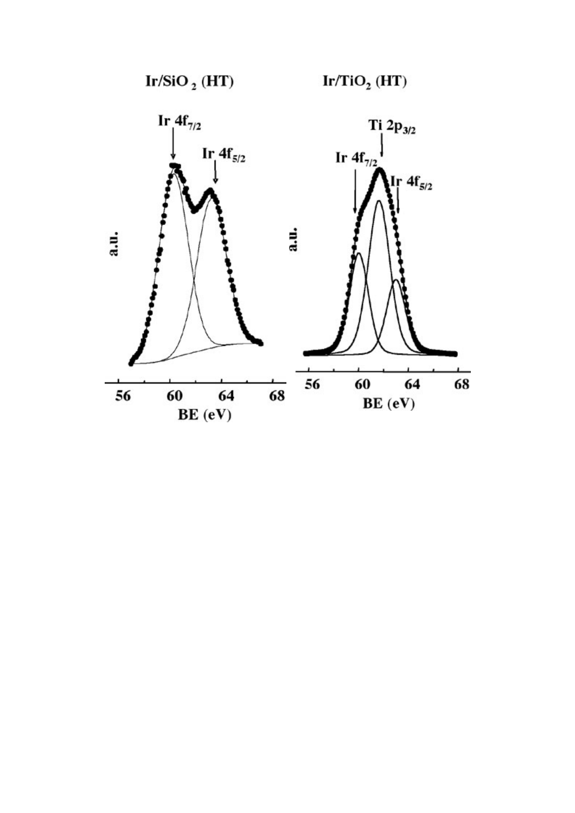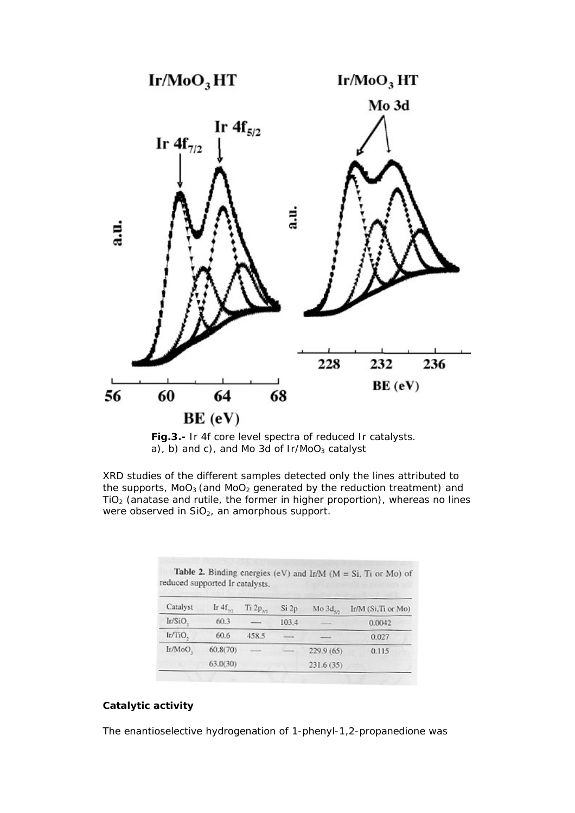



XRD studies of the different samples detected only the lines attributed to the supports,  $MoO<sub>3</sub>$  (and  $MoO<sub>2</sub>$  generated by the reduction treatment) and  $TiO<sub>2</sub>$  (anatase and rutile, the former in higher proportion), whereas no lines were observed in SiO<sub>2</sub>, an amorphous support.

| Catalyst |              |               |       |                    |                     |
|----------|--------------|---------------|-------|--------------------|---------------------|
|          | Ir $4f_{22}$ | $Ti 2p_{32}$  | Si2p  | Mo3d <sub>on</sub> | Ir/M (Si, Ti or Mo) |
| Ir/SiO,  | 60.3         | --            | 103.4 |                    | 0.0042              |
| Ir/TiO,  | 60.6         | 458.5         |       |                    | 0.027               |
| Ir/MoO.  | 60.8(70)     | <b>ACCESS</b> |       | 229.9 (65)         | 0.115               |
|          | 63.0(30)     |               |       | 231.6(35)          |                     |

### **Catalytic activity**

The enantioselective hydrogenation of 1-phenyl-1,2-propanedione was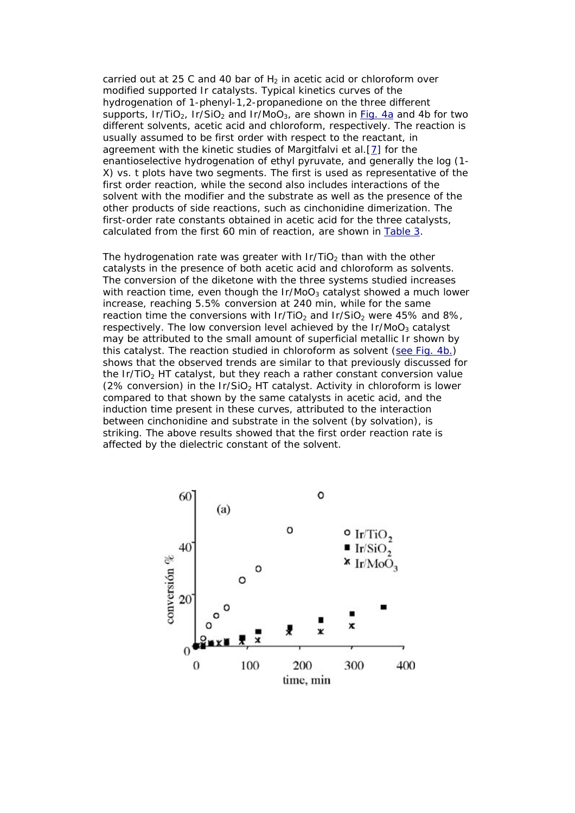carried out at 25 C and 40 bar of  $H_2$  in acetic acid or chloroform over modified supported Ir catalysts. Typical kinetics curves of the hydrogenation of 1-phenyl-1,2-propanedione on the three different supports,  $Ir/TiO<sub>2</sub>$ ,  $Ir/SiO<sub>2</sub>$  and  $Ir/MoO<sub>3</sub>$ , are shown in [Fig. 4a](http://www.scielo.cl/scielo.php?script=sci_arttext&pid=S0717-97072005000100005&lng=es&nrm=iso&tlng=en#figura4#figura4) and 4b for two different solvents, acetic acid and chloroform, respectively. The reaction is usually assumed to be first order with respect to the reactant, in agreement with the kinetic studies of Margitfalvi et al.[[7](http://www.scielo.cl/scielo.php?script=sci_arttext&pid=S0717-97072005000100005&lng=es&nrm=iso&tlng=en#7#7)] for the enantioselective hydrogenation of ethyl pyruvate, and generally the log (1- X) *vs.* t plots have two segments. The first is used as representative of the first order reaction, while the second also includes interactions of the solvent with the modifier and the substrate as well as the presence of the other products of side reactions, such as cinchonidine dimerization. The first-order rate constants obtained in acetic acid for the three catalysts, calculated from the first 60 min of reaction, are shown in [Table 3.](http://www.scielo.cl/scielo.php?script=sci_arttext&pid=S0717-97072005000100005&lng=es&nrm=iso&tlng=en#tabla3#tabla3)

The hydrogenation rate was greater with  $Ir/TiO<sub>2</sub>$  than with the other catalysts in the presence of both acetic acid and chloroform as solvents. The conversion of the diketone with the three systems studied increases with reaction time, even though the  $Ir/Moo<sub>3</sub>$  catalyst showed a much lower increase, reaching 5.5% conversion at 240 min, while for the same reaction time the conversions with  $Ir/TiO<sub>2</sub>$  and  $Ir/SiO<sub>2</sub>$  were 45% and 8%, respectively. The low conversion level achieved by the  $Ir/Moo<sub>3</sub>$  catalyst may be attributed to the small amount of superficial metallic Ir shown by this catalyst. The reaction studied in chloroform as solvent ([see Fig. 4b.](http://www.scielo.cl/scielo.php?script=sci_arttext&pid=S0717-97072005000100005&lng=es&nrm=iso&tlng=en#figura4#figura4)) shows that the observed trends are similar to that previously discussed for the  $Ir/TiO<sub>2</sub> HT$  catalyst, but they reach a rather constant conversion value (2% conversion) in the Ir/SiO<sub>2</sub> HT catalyst. Activity in chloroform is lower compared to that shown by the same catalysts in acetic acid, and the induction time present in these curves, attributed to the interaction between cinchonidine and substrate in the solvent (by solvation), is striking. The above results showed that the first order reaction rate is affected by the dielectric constant of the solvent.

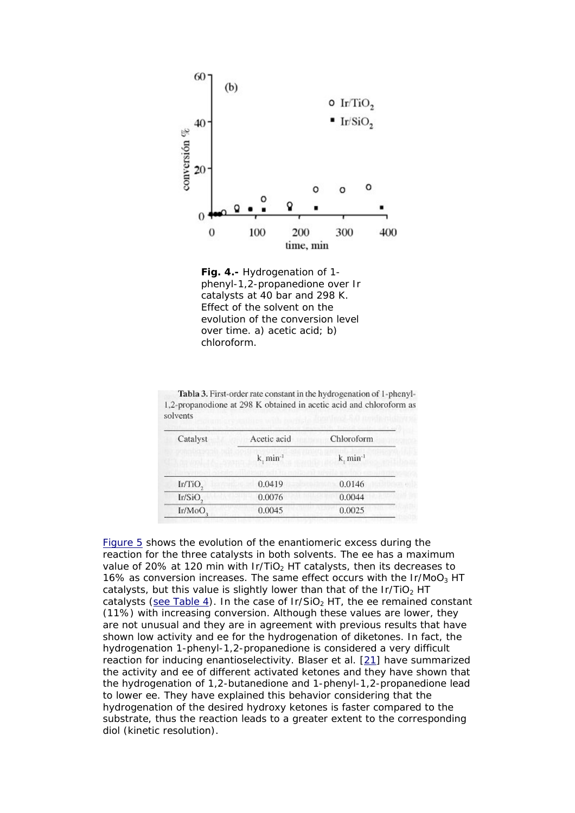

**Fig. 4.-** Hydrogenation of 1 phenyl-1,2-propanedione over Ir catalysts at 40 bar and 298 K. Effect of the solvent on the evolution of the conversion level over time. a) acetic acid; b) chloroform.

| Catalyst            | Acetic acid      | Chloroform              |
|---------------------|------------------|-------------------------|
|                     | $k.$ min $^{-1}$ | $k$ , min <sup>-1</sup> |
| Ir/TiO <sub>2</sub> | 0.0419           | 0.0146                  |
| Ir/SiO,             | 0.0076           | 0.0044                  |
| Ir/MoO,             | 0.0045           | 0.0025                  |

Tabla 3. First-order rate constant in the hydrogenation of 1-phenyl-1,2-propanodione at 298 K obtained in acetic acid and chloroform as solvents

[Figure 5](http://www.scielo.cl/scielo.php?script=sci_arttext&pid=S0717-97072005000100005&lng=es&nrm=iso&tlng=en#figura5#figura5) shows the evolution of the enantiomeric excess during the reaction for the three catalysts in both solvents. The ee has a maximum value of 20% at 120 min with  $Ir/TiO<sub>2</sub> HT$  catalysts, then its decreases to 16% as conversion increases. The same effect occurs with the  $Ir/MoO<sub>3</sub> HT$ catalysts, but this value is slightly lower than that of the Ir/TiO<sub>2</sub> HT catalysts ([see Table 4](http://www.scielo.cl/scielo.php?script=sci_arttext&pid=S0717-97072005000100005&lng=es&nrm=iso&tlng=en#tabla4#tabla4)). In the case of  $Ir/SiO<sub>2</sub> HT$ , the ee remained constant (11%) with increasing conversion. Although these values are lower, they are not unusual and they are in agreement with previous results that have shown low activity and ee for the hydrogenation of diketones. In fact, the hydrogenation 1-phenyl-1,2-propanedione is considered a very difficult reaction for inducing enantioselectivity. Blaser et al. [[21](http://www.scielo.cl/scielo.php?script=sci_arttext&pid=S0717-97072005000100005&lng=es&nrm=iso&tlng=en#21#21)] have summarized the activity and ee of different activated ketones and they have shown that the hydrogenation of 1,2-butanedione and 1-phenyl-1,2-propanedione lead to lower ee. They have explained this behavior considering that the hydrogenation of the desired hydroxy ketones is faster compared to the substrate, thus the reaction leads to a greater extent to the corresponding diol (kinetic resolution).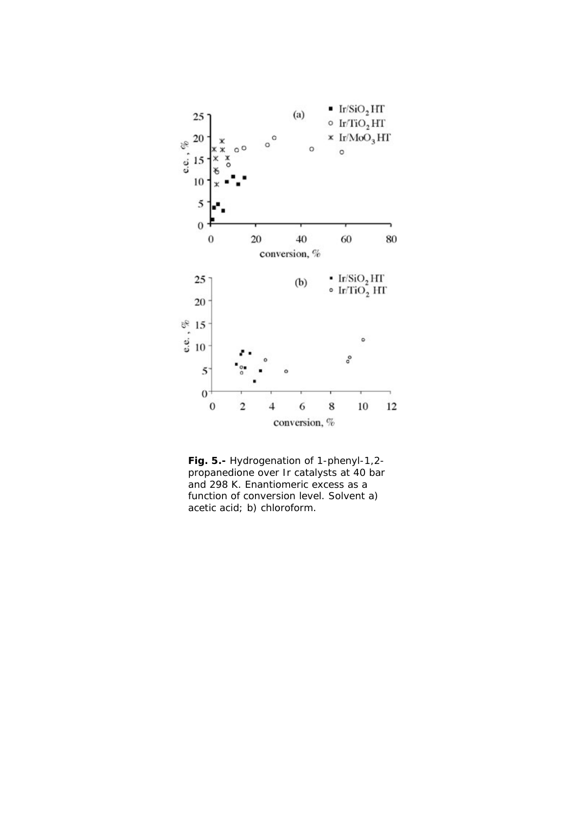

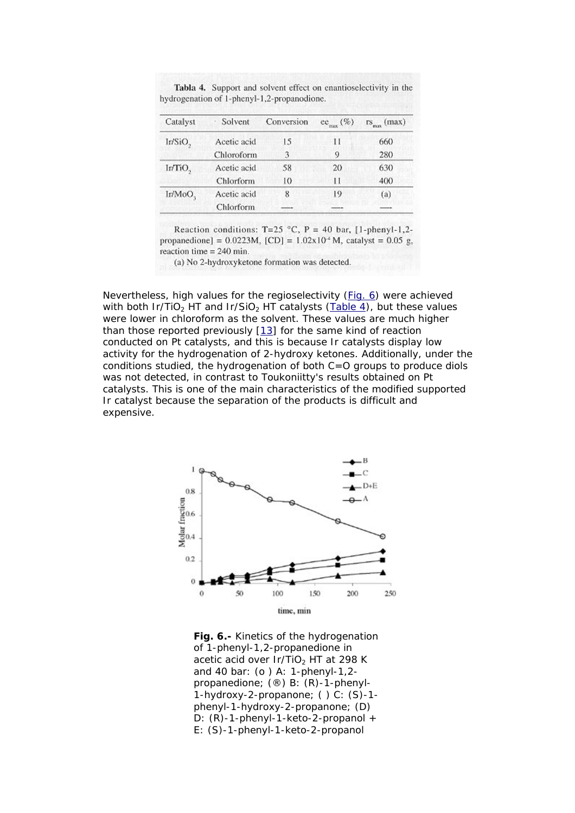| Catalyst            | Solvent     | Conversion | $ec_{max}$ (%) | $rs_{\max}$ (max) |
|---------------------|-------------|------------|----------------|-------------------|
| Ir/SiO,             | Acetic acid | 15         | Н              | 660               |
|                     | Chloroform  | 3          | 9              | 280               |
| Ir/TiO <sub>2</sub> | Acetic acid | 58         | 20             | 630               |
|                     | Chlorform   | 10         | Н              | 400               |
| Ir/MoO <sub>s</sub> | Acetic acid | 8          | 19             | (a)               |
|                     | Chlorform   |            |                |                   |

Tabla 4. Support and solvent effect on enantioselectivity in the hydrogenation of 1-phenyl-1,2-propanodione.

Reaction conditions: T=25 °C, P = 40 bar, [1-phenyl-1,2propanedione] =  $0.0223M$ , [CD] =  $1.02x10^{2}$  M, catalyst = 0.05 g, reaction time  $= 240$  min.

(a) No 2-hydroxyketone formation was detected.

Nevertheless, high values for the regioselectivity [\(Fig. 6](http://www.scielo.cl/scielo.php?script=sci_arttext&pid=S0717-97072005000100005&lng=es&nrm=iso&tlng=en#figura6#figura6)) were achieved with both Ir/TiO<sub>2</sub> HT and Ir/SiO<sub>2</sub> HT catalysts ([Table 4](http://www.scielo.cl/scielo.php?script=sci_arttext&pid=S0717-97072005000100005&lng=es&nrm=iso&tlng=en#tabla4#tabla4)), but these values were lower in chloroform as the solvent. These values are much higher than those reported previously [\[13](http://www.scielo.cl/scielo.php?script=sci_arttext&pid=S0717-97072005000100005&lng=es&nrm=iso&tlng=en#13#13)] for the same kind of reaction conducted on Pt catalysts, and this is because Ir catalysts display low activity for the hydrogenation of 2-hydroxy ketones. Additionally, under the conditions studied, the hydrogenation of both C=O groups to produce diols was not detected, in contrast to Toukoniitty's results obtained on Pt catalysts. This is one of the main characteristics of the modified supported Ir catalyst because the separation of the products is difficult and expensive.



**Fig. 6.-** Kinetics of the hydrogenation of 1-phenyl-1,2-propanedione in acetic acid over  $Ir/TiO<sub>2</sub> HT$  at 298 K and 40 bar: (o ) A: 1-phenyl-1,2 propanedione; (®) B: (R)-1-phenyl-1-hydroxy-2-propanone; ( ) C: (S)-1 phenyl-1-hydroxy-2-propanone; (D) D: (R)-1-phenyl-1-keto-2-propanol + E: (S)-1-phenyl-1-keto-2-propanol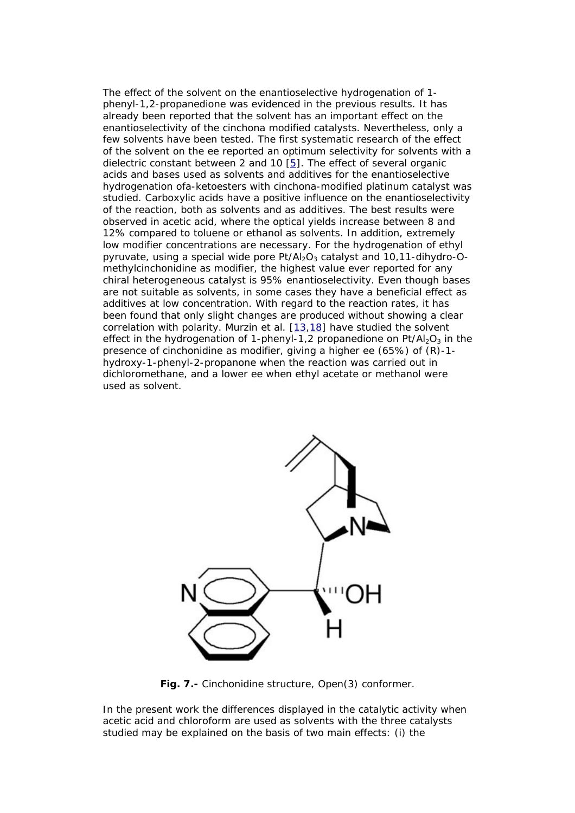The effect of the solvent on the enantioselective hydrogenation of 1 phenyl-1,2-propanedione was evidenced in the previous results. It has already been reported that the solvent has an important effect on the enantioselectivity of the cinchona modified catalysts. Nevertheless, only a few solvents have been tested. The first systematic research of the effect of the solvent on the ee reported an optimum selectivity for solvents with a dielectric constant between 2 and 10  $[5]$ . The effect of several organic acids and bases used as solvents and additives for the enantioselective hydrogenation ofa-ketoesters with cinchona-modified platinum catalyst was studied. Carboxylic acids have a positive influence on the enantioselectivity of the reaction, both as solvents and as additives. The best results were observed in acetic acid, where the optical yields increase between 8 and 12% compared to toluene or ethanol as solvents. In addition, extremely low modifier concentrations are necessary. For the hydrogenation of ethyl pyruvate, using a special wide pore  $Pt/Al<sub>2</sub>O<sub>3</sub>$  catalyst and 10,11-dihydro-Omethylcinchonidine as modifier, the highest value ever reported for any chiral heterogeneous catalyst is 95% enantioselectivity. Even though bases are not suitable as solvents, in some cases they have a beneficial effect as additives at low concentration. With regard to the reaction rates, it has been found that only slight changes are produced without showing a clear correlation with polarity. Murzin et al. [\[13](http://www.scielo.cl/scielo.php?script=sci_arttext&pid=S0717-97072005000100005&lng=es&nrm=iso&tlng=en#13#13)[,18](http://www.scielo.cl/scielo.php?script=sci_arttext&pid=S0717-97072005000100005&lng=es&nrm=iso&tlng=en#18#18)] have studied the solvent effect in the hydrogenation of 1-phenyl-1,2 propanedione on  $Pt/Al_2O_3$  in the presence of cinchonidine as modifier, giving a higher ee (65%) of (R)-1 hydroxy-1-phenyl-2-propanone when the reaction was carried out in dichloromethane, and a lower ee when ethyl acetate or methanol were used as solvent.



**Fig. 7.-** Cinchonidine structure, Open(3) conformer.

In the present work the differences displayed in the catalytic activity when acetic acid and chloroform are used as solvents with the three catalysts studied may be explained on the basis of two main effects: (i) the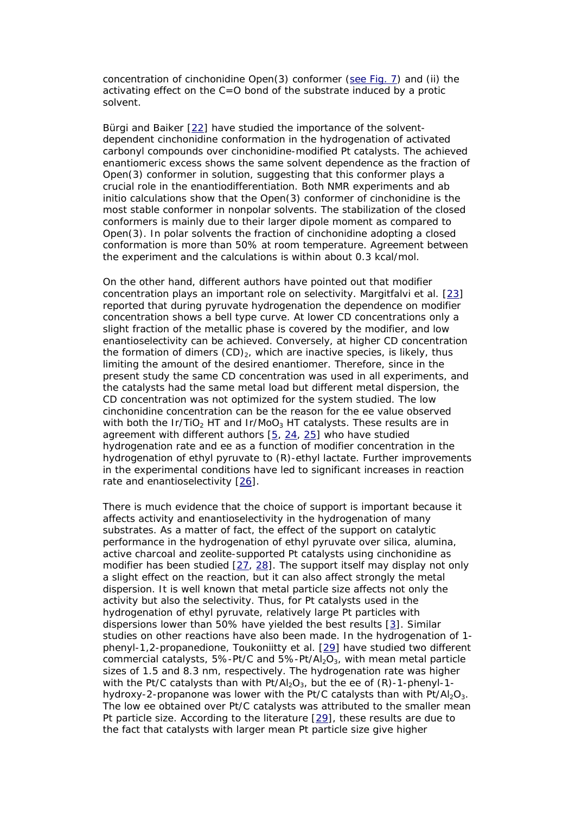concentration of cinchonidine Open(3) conformer [\(see Fig. 7\)](http://www.scielo.cl/scielo.php?script=sci_arttext&pid=S0717-97072005000100005&lng=es&nrm=iso&tlng=en#figura7#figura7) and (ii) the activating effect on the C=O bond of the substrate induced by a protic solvent.

Bürgi and Baiker [\[22\]](http://www.scielo.cl/scielo.php?script=sci_arttext&pid=S0717-97072005000100005&lng=es&nrm=iso&tlng=en#22#22) have studied the importance of the solventdependent cinchonidine conformation in the hydrogenation of activated carbonyl compounds over cinchonidine-modified Pt catalysts. The achieved enantiomeric excess shows the same solvent dependence as the fraction of Open(3) conformer in solution, suggesting that this conformer plays a crucial role in the enantiodifferentiation. Both NMR experiments and *ab initio* calculations show that the Open(3) conformer of cinchonidine is the most stable conformer in nonpolar solvents. The stabilization of the closed conformers is mainly due to their larger dipole moment as compared to Open(3). In polar solvents the fraction of cinchonidine adopting a closed conformation is more than 50% at room temperature. Agreement between the experiment and the calculations is within about 0.3 kcal/mol.

On the other hand, different authors have pointed out that modifier concentration plays an important role on selectivity. Margitfalvi et al. [\[23](http://www.scielo.cl/scielo.php?script=sci_arttext&pid=S0717-97072005000100005&lng=es&nrm=iso&tlng=en#23#23)] reported that during pyruvate hydrogenation the dependence on modifier concentration shows a bell type curve. At lower CD concentrations only a slight fraction of the metallic phase is covered by the modifier, and low enantioselectivity can be achieved. Conversely, at higher CD concentration the formation of dimers  $(CD)_2$ , which are inactive species, is likely, thus limiting the amount of the desired enantiomer. Therefore, since in the present study the same CD concentration was used in all experiments, and the catalysts had the same metal load but different metal dispersion, the CD concentration was not optimized for the system studied. The low cinchonidine concentration can be the reason for the ee value observed with both the Ir/TiO<sub>2</sub> HT and Ir/MoO<sub>3</sub> HT catalysts. These results are in agreement with different authors  $[5, 24, 25]$  $[5, 24, 25]$  $[5, 24, 25]$  $[5, 24, 25]$  $[5, 24, 25]$  $[5, 24, 25]$  who have studied hydrogenation rate and ee as a function of modifier concentration in the hydrogenation of ethyl pyruvate to (R)-ethyl lactate. Further improvements in the experimental conditions have led to significant increases in reaction rate and enantioselectivity [[26\]](http://www.scielo.cl/scielo.php?script=sci_arttext&pid=S0717-97072005000100005&lng=es&nrm=iso&tlng=en#26#26).

There is much evidence that the choice of support is important because it affects activity and enantioselectivity in the hydrogenation of many substrates. As a matter of fact, the effect of the support on catalytic performance in the hydrogenation of ethyl pyruvate over silica, alumina, active charcoal and zeolite-supported Pt catalysts using cinchonidine as modifier has been studied [\[27,](http://www.scielo.cl/scielo.php?script=sci_arttext&pid=S0717-97072005000100005&lng=es&nrm=iso&tlng=en#27#27) [28\]](http://www.scielo.cl/scielo.php?script=sci_arttext&pid=S0717-97072005000100005&lng=es&nrm=iso&tlng=en#28#28). The support itself may display not only a slight effect on the reaction, but it can also affect strongly the metal dispersion. It is well known that metal particle size affects not only the activity but also the selectivity. Thus, for Pt catalysts used in the hydrogenation of ethyl pyruvate, relatively large Pt particles with dispersions lower than 50% have yielded the best results [\[3\]](http://www.scielo.cl/scielo.php?script=sci_arttext&pid=S0717-97072005000100005&lng=es&nrm=iso&tlng=en#3#3). Similar studies on other reactions have also been made. In the hydrogenation of 1 phenyl-1,2-propanedione, Toukoniitty et al. [\[29](http://www.scielo.cl/scielo.php?script=sci_arttext&pid=S0717-97072005000100005&lng=es&nrm=iso&tlng=en#29#29)] have studied two different commercial catalysts, 5%-Pt/C and  $5\%$ -Pt/Al<sub>2</sub>O<sub>3</sub>, with mean metal particle sizes of 1.5 and 8.3 nm, respectively. The hydrogenation rate was higher with the Pt/C catalysts than with Pt/Al<sub>2</sub>O<sub>3</sub>, but the ee of  $(R)$ -1-phenyl-1hydroxy-2-propanone was lower with the Pt/C catalysts than with  $Pt/Al_2O_3$ . The low ee obtained over Pt/C catalysts was attributed to the smaller mean Pt particle size. According to the literature [[29\]](http://www.scielo.cl/scielo.php?script=sci_arttext&pid=S0717-97072005000100005&lng=es&nrm=iso&tlng=en#29#29), these results are due to the fact that catalysts with larger mean Pt particle size give higher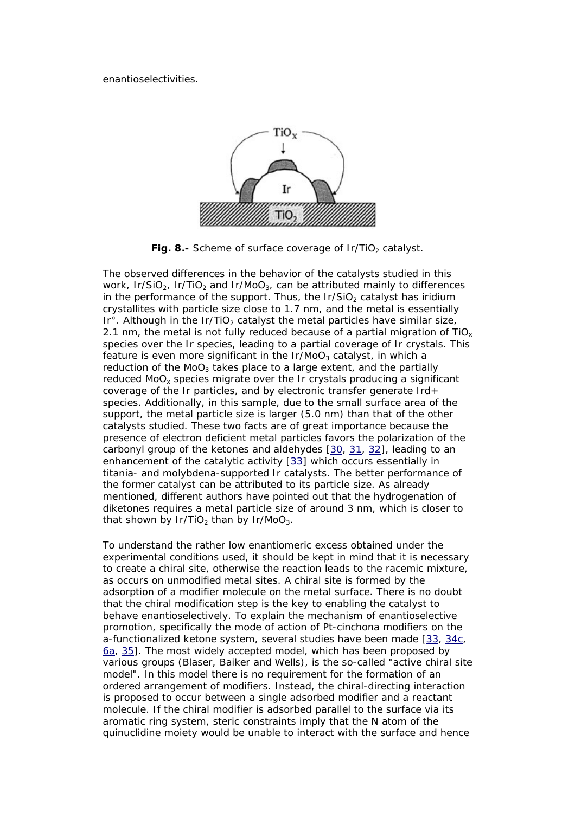enantioselectivities.



Fig. 8.- Scheme of surface coverage of Ir/TiO<sub>2</sub> catalyst.

The observed differences in the behavior of the catalysts studied in this work, Ir/SiO<sub>2</sub>, Ir/TiO<sub>2</sub> and Ir/MoO<sub>3</sub>, can be attributed mainly to differences in the performance of the support. Thus, the  $Ir/SiO<sub>2</sub>$  catalyst has iridium crystallites with particle size close to 1.7 nm, and the metal is essentially Ir $\degree$ . Although in the Ir/TiO<sub>2</sub> catalyst the metal particles have similar size, 2.1 nm, the metal is not fully reduced because of a partial migration of  $TiO<sub>x</sub>$ species over the Ir species, leading to a partial coverage of Ir crystals. This feature is even more significant in the  $Ir/MoO<sub>3</sub>$  catalyst, in which a reduction of the MoO<sub>3</sub> takes place to a large extent, and the partially reduced MoO<sub>y</sub> species migrate over the Ir crystals producing a significant coverage of the Ir particles, and by electronic transfer generate Ird+ species. Additionally, in this sample, due to the small surface area of the support, the metal particle size is larger (5.0 nm) than that of the other catalysts studied. These two facts are of great importance because the presence of electron deficient metal particles favors the polarization of the carbonyl group of the ketones and aldehydes [[30](http://www.scielo.cl/scielo.php?script=sci_arttext&pid=S0717-97072005000100005&lng=es&nrm=iso&tlng=en#30#30), [31](http://www.scielo.cl/scielo.php?script=sci_arttext&pid=S0717-97072005000100005&lng=es&nrm=iso&tlng=en#31#31), [32](http://www.scielo.cl/scielo.php?script=sci_arttext&pid=S0717-97072005000100005&lng=es&nrm=iso&tlng=en#32#32)], leading to an enhancement of the catalytic activity [[33](http://www.scielo.cl/scielo.php?script=sci_arttext&pid=S0717-97072005000100005&lng=es&nrm=iso&tlng=en#33#33)] which occurs essentially in titania- and molybdena-supported Ir catalysts. The better performance of the former catalyst can be attributed to its particle size. As already mentioned, different authors have pointed out that the hydrogenation of diketones requires a metal particle size of around 3 nm, which is closer to that shown by Ir/TiO<sub>2</sub> than by Ir/MoO<sub>3</sub>.

To understand the rather low enantiomeric excess obtained under the experimental conditions used, it should be kept in mind that it is necessary to create a chiral site, otherwise the reaction leads to the racemic mixture, as occurs on unmodified metal sites. A chiral site is formed by the adsorption of a modifier molecule on the metal surface. There is no doubt that the chiral modification step is the key to enabling the catalyst to behave enantioselectively. To explain the mechanism of enantioselective promotion, specifically the mode of action of Pt-cinchona modifiers on the a-functionalized ketone system, several studies have been made [\[33,](http://www.scielo.cl/scielo.php?script=sci_arttext&pid=S0717-97072005000100005&lng=es&nrm=iso&tlng=en#33#33) [34c,](http://www.scielo.cl/scielo.php?script=sci_arttext&pid=S0717-97072005000100005&lng=es&nrm=iso&tlng=en#34#34) [6a,](http://www.scielo.cl/scielo.php?script=sci_arttext&pid=S0717-97072005000100005&lng=es&nrm=iso&tlng=en#6#6) [35\]](http://www.scielo.cl/scielo.php?script=sci_arttext&pid=S0717-97072005000100005&lng=es&nrm=iso&tlng=en#35#35). The most widely accepted model, which has been proposed by various groups (Blaser, Baiker and Wells), is the so-called "*active chiral site model"*. In this model there is no requirement for the formation of an ordered arrangement of modifiers. Instead, the chiral-directing interaction is proposed to occur between a single adsorbed modifier and a reactant molecule. If the chiral modifier is adsorbed parallel to the surface via its aromatic ring system, steric constraints imply that the N atom of the quinuclidine moiety would be unable to interact with the surface and hence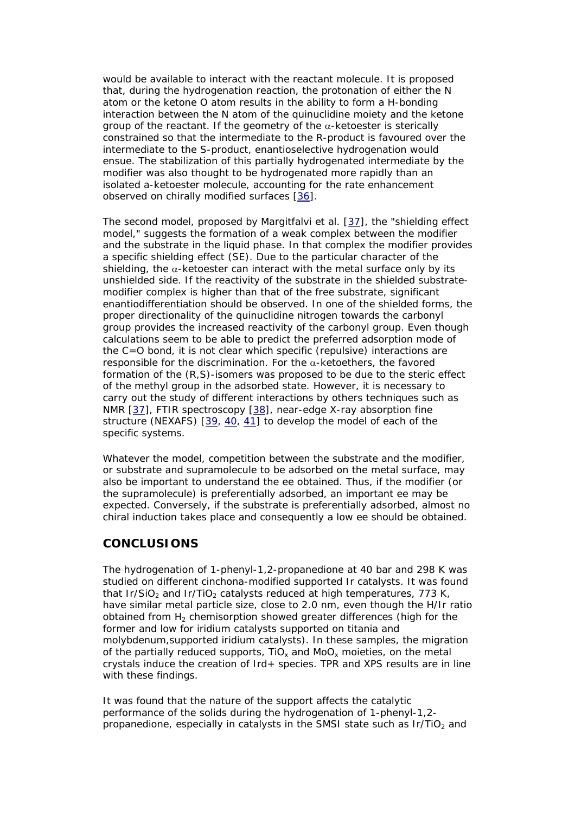would be available to interact with the reactant molecule. It is proposed that, during the hydrogenation reaction, the protonation of either the N atom or the ketone O atom results in the ability to form a H-bonding interaction between the N atom of the quinuclidine moiety and the ketone group of the reactant. If the geometry of the  $\alpha$ -ketoester is sterically constrained so that the intermediate to the R-product is favoured over the intermediate to the S-product, enantioselective hydrogenation would ensue. The stabilization of this partially hydrogenated intermediate by the modifier was also thought to be hydrogenated more rapidly than an isolated a-ketoester molecule, accounting for the rate enhancement observed on chirally modified surfaces [[36](http://www.scielo.cl/scielo.php?script=sci_arttext&pid=S0717-97072005000100005&lng=es&nrm=iso&tlng=en#36#36)].

The second model, proposed by Margitfalvi et al. [\[37\]](http://www.scielo.cl/scielo.php?script=sci_arttext&pid=S0717-97072005000100005&lng=es&nrm=iso&tlng=en#37#37), the *"shielding effect model,"* suggests the formation of a weak complex between the modifier and the substrate in the liquid phase. In that complex the modifier provides a specific shielding effect (SE). Due to the particular character of the shielding, the  $\alpha$ -ketoester can interact with the metal surface only by its unshielded side. If the reactivity of the substrate in the shielded substratemodifier complex is higher than that of the free substrate, significant enantiodifferentiation should be observed. In one of the shielded forms, the proper directionality of the quinuclidine nitrogen towards the carbonyl group provides the increased reactivity of the carbonyl group. Even though calculations seem to be able to predict the preferred adsorption mode of the C=O bond, it is not clear which specific (repulsive) interactions are responsible for the discrimination. For the  $\alpha$ -ketoethers, the favored formation of the (R,S)-isomers was proposed to be due to the steric effect of the methyl group in the adsorbed state. However, it is necessary to carry out the study of different interactions by others techniques such as NMR [\[37](http://www.scielo.cl/scielo.php?script=sci_arttext&pid=S0717-97072005000100005&lng=es&nrm=iso&tlng=en#37#37)], FTIR spectroscopy [\[38\]](http://www.scielo.cl/scielo.php?script=sci_arttext&pid=S0717-97072005000100005&lng=es&nrm=iso&tlng=en#38#38), near-edge X-ray absorption fine structure (NEXAFS) [[39](http://www.scielo.cl/scielo.php?script=sci_arttext&pid=S0717-97072005000100005&lng=es&nrm=iso&tlng=en#39#39), [40](http://www.scielo.cl/scielo.php?script=sci_arttext&pid=S0717-97072005000100005&lng=es&nrm=iso&tlng=en#40#40), [41](http://www.scielo.cl/scielo.php?script=sci_arttext&pid=S0717-97072005000100005&lng=es&nrm=iso&tlng=en#41#41)] to develop the model of each of the specific systems.

Whatever the model, competition between the substrate and the modifier, or substrate and supramolecule to be adsorbed on the metal surface, may also be important to understand the ee obtained. Thus, if the modifier (or the supramolecule) is preferentially adsorbed, an important ee may be expected. Conversely, if the substrate is preferentially adsorbed, almost no chiral induction takes place and consequently a low ee should be obtained.

# **CONCLUSIONS**

The hydrogenation of 1-phenyl-1,2-propanedione at 40 bar and 298 K was studied on different cinchona-modified supported Ir catalysts. It was found that Ir/SiO<sub>2</sub> and Ir/TiO<sub>2</sub> catalysts reduced at high temperatures, 773 K, have similar metal particle size, close to 2.0 nm, even though the H/Ir ratio obtained from  $H_2$  chemisorption showed greater differences (high for the former and low for iridium catalysts supported on titania and molybdenum,supported iridium catalysts). In these samples, the migration of the partially reduced supports,  $TiO_x$  and  $MoO_x$  moieties, on the metal crystals induce the creation of Ird+ species. TPR and XPS results are in line with these findings.

It was found that the nature of the support affects the catalytic performance of the solids during the hydrogenation of 1-phenyl-1,2 propanedione, especially in catalysts in the SMSI state such as  $Ir/TiO<sub>2</sub>$  and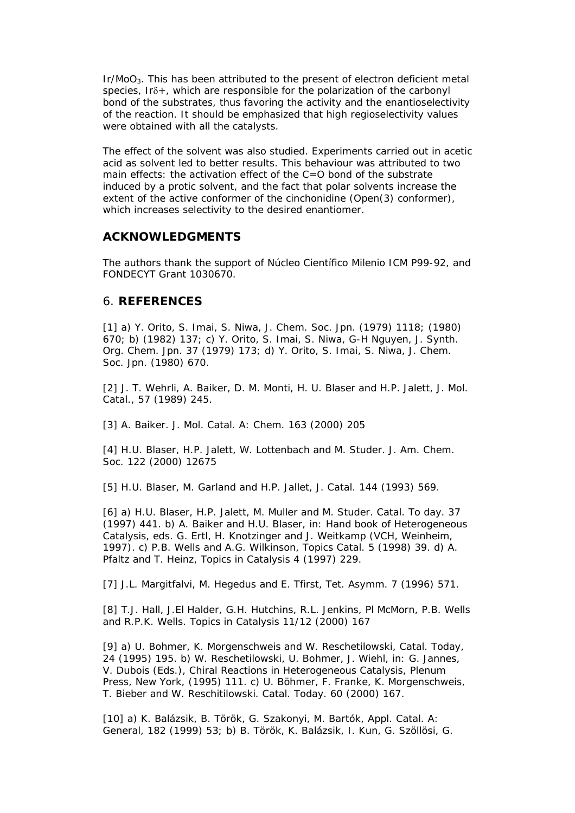Ir/MoO<sub>3</sub>. This has been attributed to the present of electron deficient metal species, Irδ+, which are responsible for the polarization of the carbonyl bond of the substrates, thus favoring the activity and the enantioselectivity of the reaction. It should be emphasized that high regioselectivity values were obtained with all the catalysts.

The effect of the solvent was also studied. Experiments carried out in acetic acid as solvent led to better results. This behaviour was attributed to two main effects: the activation effect of the C=O bond of the substrate induced by a protic solvent, and the fact that polar solvents increase the extent of the active conformer of the cinchonidine (Open(3) conformer), which increases selectivity to the desired enantiomer.

## **ACKNOWLEDGMENTS**

The authors thank the support of Núcleo Científico Milenio ICM P99-92, and FONDECYT Grant 1030670.

# 6. **REFERENCES**

[1] a) Y. Orito, S. Imai, S. Niwa, J. Chem. Soc. Jpn. (1979) 1118; (1980) 670; b) (1982) 137; c) Y. Orito, S. Imai, S. Niwa, G-H Nguyen, J. Synth. Org. Chem. Jpn. 37 (1979) 173; d) Y. Orito, S. Imai, S. Niwa, J. Chem. Soc. Jpn. (1980) 670.

[2] J. T. Wehrli, A. Baiker, D. M. Monti, H. U. Blaser and H.P. Jalett, J. Mol. Catal., 57 (1989) 245.

[3] A. Baiker. J. Mol. Catal. A: Chem. 163 (2000) 205

[4] H.U. Blaser, H.P. Jalett, W. Lottenbach and M. Studer. J. Am. Chem. Soc. 122 (2000) 12675

[5] H.U. Blaser, M. Garland and H.P. Jallet, J. Catal. 144 (1993) 569.

[6] a) H.U. Blaser, H.P. Jalett, M. Muller and M. Studer. Catal. To day. 37 (1997) 441. b) A. Baiker and H.U. Blaser, in: Hand book of Heterogeneous Catalysis, eds. G. Ertl, H. Knotzinger and J. Weitkamp (VCH, Weinheim, 1997). c) P.B. Wells and A.G. Wilkinson, Topics Catal. 5 (1998) 39. d) A. Pfaltz and T. Heinz, Topics in Catalysis 4 (1997) 229.

[7] J.L. Margitfalvi, M. Hegedus and E. Tfirst, Tet. Asymm. 7 (1996) 571.

[8] T.J. Hall, J.El Halder, G.H. Hutchins, R.L. Jenkins, Pl McMorn, P.B. Wells and R.P.K. Wells. Topics in Catalysis 11/12 (2000) 167

[9] a) U. Bohmer, K. Morgenschweis and W. Reschetilowski, Catal. Today, 24 (1995) 195. b) W. Reschetilowski, U. Bohmer, J. Wiehl, in: G. Jannes, V. Dubois (Eds.), Chiral Reactions in Heterogeneous Catalysis, Plenum Press, New York, (1995) 111. c) U. Böhmer, F. Franke, K. Morgenschweis, T. Bieber and W. Reschitilowski. Catal. Today. 60 (2000) 167.

[10] a) K. Balázsik, B. Török, G. Szakonyi, M. Bartók, Appl. Catal. A: General, 182 (1999) 53; b) B. Török, K. Balázsik, I. Kun, G. Szöllösi, G.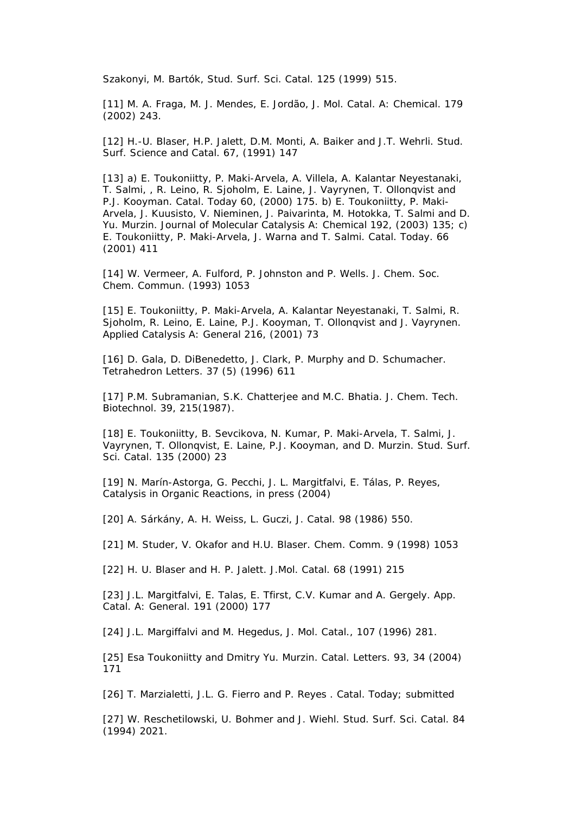Szakonyi, M. Bartók, Stud. Surf. Sci. Catal. 125 (1999) 515.

[11] M. A. Fraga, M. J. Mendes, E. Jordão, J. Mol. Catal. A: Chemical. 179 (2002) 243.

[12] H.-U. Blaser, H.P. Jalett, D.M. Monti, A. Baiker and J.T. Wehrli. Stud. Surf. Science and Catal. 67, (1991) 147

[13] a) E. Toukoniitty, P. Maki-Arvela, A. Villela, A. Kalantar Neyestanaki, T. Salmi, , R. Leino, R. Sjoholm, E. Laine, J. Vayrynen, T. Ollonqvist and P.J. Kooyman. Catal. Today 60, (2000) 175. b) E. Toukoniitty, P. Maki-Arvela, J. Kuusisto, V. Nieminen, J. Paivarinta, M. Hotokka, T. Salmi and D. Yu. Murzin. Journal of Molecular Catalysis A: Chemical 192, (2003) 135; c) E. Toukoniitty, P. Maki-Arvela, J. Warna and T. Salmi. Catal. Today. 66 (2001) 411

[14] W. Vermeer, A. Fulford, P. Johnston and P. Wells. J. Chem. Soc. Chem. Commun. (1993) 1053

[15] E. Toukoniitty, P. Maki-Arvela, A. Kalantar Neyestanaki, T. Salmi, R. Sjoholm, R. Leino, E. Laine, P.J. Kooyman, T. Ollonqvist and J. Vayrynen. Applied Catalysis A: General 216, (2001) 73

[16] D. Gala, D. DiBenedetto, J. Clark, P. Murphy and D. Schumacher. Tetrahedron Letters. 37 (5) (1996) 611

[17] P.M. Subramanian, S.K. Chatterjee and M.C. Bhatia. J. Chem. Tech. Biotechnol. 39, 215(1987).

[18] E. Toukoniitty, B. Sevcikova, N. Kumar, P. Maki-Arvela, T. Salmi, J. Vayrynen, T. Ollonqvist, E. Laine, P.J. Kooyman, and D. Murzin. Stud. Surf. Sci. Catal. 135 (2000) 23

[19] N. Marín-Astorga, G. Pecchi, J. L. Margitfalvi, E. Tálas, P. Reyes, Catalysis in Organic Reactions, in press (2004)

[20] A. Sárkány, A. H. Weiss, L. Guczi, J. Catal. 98 (1986) 550.

[21] M. Studer, V. Okafor and H.U. Blaser. Chem. Comm. 9 (1998) 1053

[22] H. U. Blaser and H. P. Jalett. J.Mol. Catal. 68 (1991) 215

[23] J.L. Margitfalvi, E. Talas, E. Tfirst, C.V. Kumar and A. Gergely. *App. Catal. A: General*. 191 (2000) 177

[24] J.L. Margiffalvi and M. Hegedus, J. Mol. Catal., 107 (1996) 281.

[25] Esa Toukoniitty and Dmitry Yu. Murzin. Catal. Letters. 93, 34 (2004) 171

[26] T. Marzialetti, J.L. G. Fierro and P. Reyes. Catal. Today; submitted

[27] W. Reschetilowski, U. Bohmer and J. Wiehl. Stud. Surf. Sci. Catal. 84 (1994) 2021.